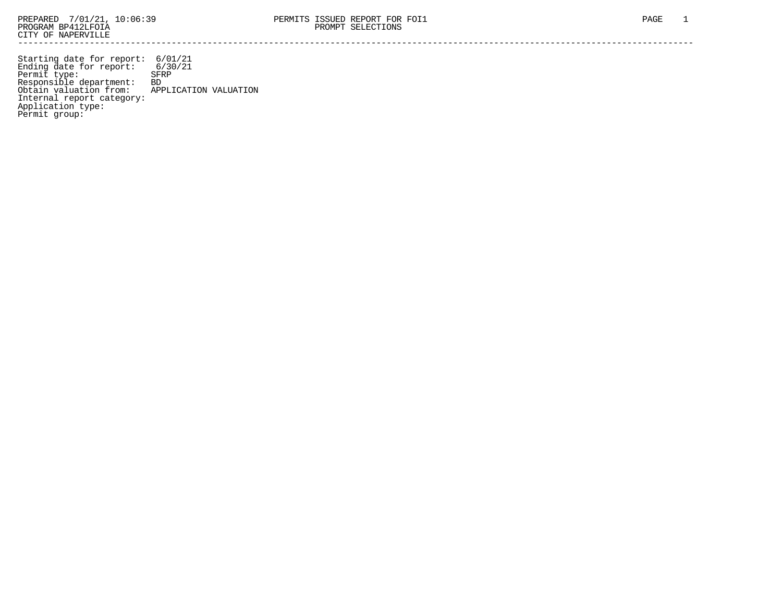Starting date for report: 6/01/21 Ending date for report: 6/30/21 Permit type: SFRP Responsible department: BD Obtain valuation from: APPLICATION VALUATION Internal report category: Application type: Permit group: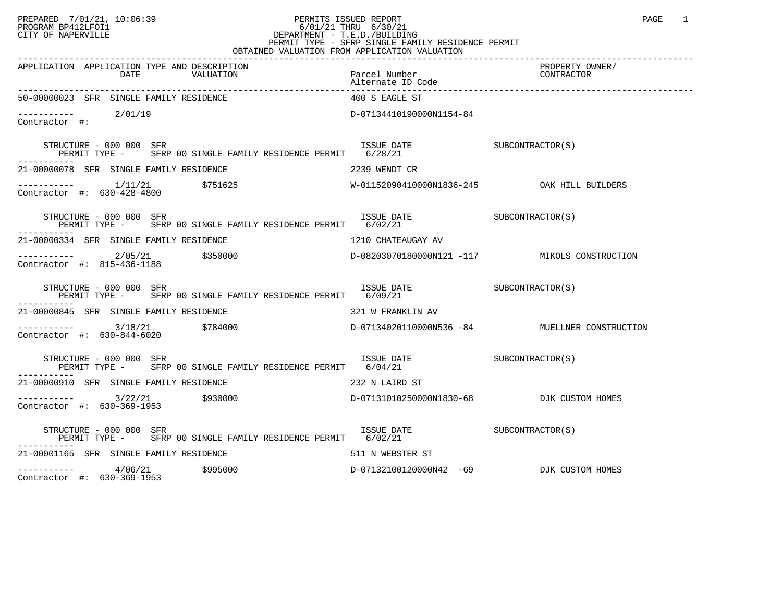## PREPARED 7/01/21, 10:06:39 PERMITS ISSUED REPORT PAGE 1 PROGRAM BP412LFOI1 6/01/21 THRU 6/30/21 CITY OF NAPERVILLE **Example 20** CITY OF NAPERVILLE CITY OF NAPERVILLE<br>
PERMIT TYPE - SFRP SINGLE FAMILY RESIDENCE PERMIT<br>
PERMIT TYPE - SFRP SINGLE FAMILY RESIDENCE PERMIT OBTAINED VALUATION FROM APPLICATION VALUATION

| APPLICATION APPLICATION TYPE AND DESCRIPTION<br>DATE<br>VALUATION                                                                   | Parcel Number                             | PROPERTY OWNER/<br>CONTRACTOR                 |
|-------------------------------------------------------------------------------------------------------------------------------------|-------------------------------------------|-----------------------------------------------|
| 50-00000023 SFR SINGLE FAMILY RESIDENCE                                                                                             | 400 S EAGLE ST                            |                                               |
| $\begin{tabular}{ll} --------& & 2/01/19 \\ \textbf{Contractor} & \#:\end{tabular}$                                                 | D-07134410190000N1154-84                  |                                               |
| STRUCTURE - 000 000 SFR                                                                                                             |                                           |                                               |
| 21-00000078 SFR SINGLE FAMILY RESIDENCE THE SERIES OF 2239 WENDT CR                                                                 |                                           |                                               |
|                                                                                                                                     |                                           |                                               |
| STRUCTURE - 000 000 SFR<br>PERMIT TYPE - SFRP 00 SINGLE FAMILY RESIDENCE PERMIT 6/02/21                                             | ISSUE DATE SUBCONTRACTOR(S)               |                                               |
| 21-00000334 SFR SINGLE FAMILY RESIDENCE THE SERIES OF THE LATER SERIES AV                                                           |                                           |                                               |
| ----------- 2/05/21 \$350000<br>Contractor #: 815-436-1188                                                                          |                                           | D-08203070180000N121 -117 MIKOLS CONSTRUCTION |
| STRUCTURE - 000 000 SFR<br>PERMIT TYPE - SFRP 00 SINGLE FAMILY RESIDENCE PERMIT 6/09/21<br>----------                               | ISSUE DATE SUBCONTRACTOR(S)               |                                               |
| 21-00000845 SFR SINGLE FAMILY RESIDENCE                                                                                             | 321 W FRANKLIN AV                         |                                               |
| ----------     3/18/21      \$784000             D-07134020110000N536 -84       MUELLNER CONSTRUCTION<br>Contractor #: 630-844-6020 |                                           |                                               |
| ISSUE DATE SUBCONTRACTOR(S)<br>STRUCTURE - 000 000 SFR<br>PERMIT TYPE - SFRP 00 SINGLE FAMILY RESIDENCE PERMIT 6/04/21              |                                           |                                               |
| 21-00000910 SFR SINGLE FAMILY RESIDENCE THE SERIES OF 232 N LAIRD ST                                                                |                                           |                                               |
| $\frac{3}{22/21}$ \$930000<br>Contractor #: 630, 360, 1052<br>Contractor #: 630-369-1953                                            | D-07131010250000N1830-68 DJK CUSTOM HOMES |                                               |
| STRUCTURE - 000 000 SFR<br>PERMIT TYPE - SFRP 00 SINGLE FAMILY RESIDENCE PERMIT 6/02/21                                             | ISSUE DATE SUBCONTRACTOR(S)               |                                               |
| 21-00001165 SFR SINGLE FAMILY RESIDENCE                                                                                             | 511 N WEBSTER ST                          |                                               |
| $---------$ 4/06/21 \$995000<br>$\sim$ $\sim$ $\sim$ $\sim$ $\sim$ $\sim$                                                           | D-07132100120000N42 -69 DJK CUSTOM HOMES  |                                               |

Contractor #: 630-369-1953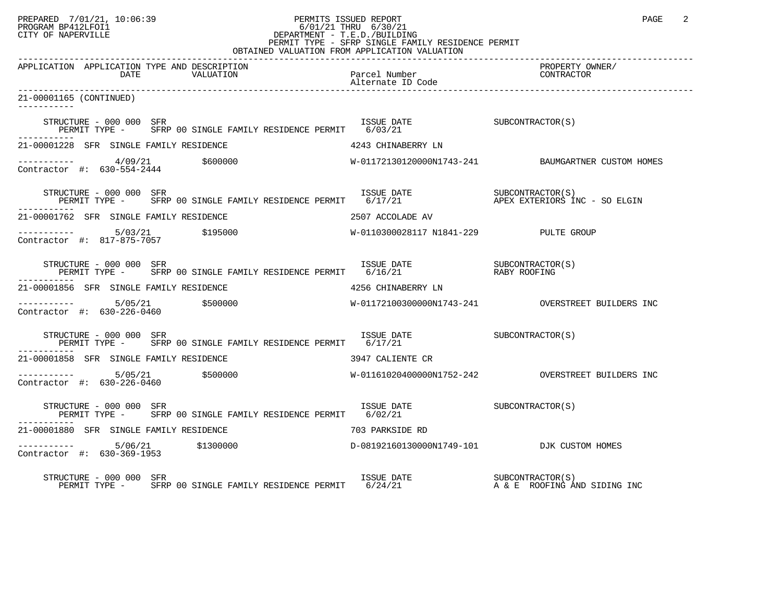## PREPARED 7/01/21, 10:06:39 PERMITS ISSUED REPORT PAGE 2 PROGRAM BP412LFOI1 6/01/21 THRU 6/30/21 CITY OF NAPERVILLE **Example 20** CITY OF NAPERVILLE PERMIT TYPE - SFRP SINGLE FAMILY RESIDENCE PERMIT

| OBTAINED VALUATION FROM APPLICATION VALUATION                                                                                                                                                                    |                                       |                                                    |  |  |  |  |
|------------------------------------------------------------------------------------------------------------------------------------------------------------------------------------------------------------------|---------------------------------------|----------------------------------------------------|--|--|--|--|
| APPLICATION APPLICATION TYPE AND DESCRIPTION<br>DATE<br>VALUATION                                                                                                                                                | Parcel Number<br>Alternate ID Code    | PROPERTY OWNER/<br>CONTRACTOR                      |  |  |  |  |
| 21-00001165 (CONTINUED)                                                                                                                                                                                          |                                       |                                                    |  |  |  |  |
| $\begin{tabular}{lllllll} \texttt{STRUCTURE} & 000 000 & SFR & 1SSUE & DATE \\ \texttt{PERMIT} & 00 & SFRP & 00 & SINGLE & FAMILY & RESIDENCE & PERMIT & 6/03/21 & 0.000 & 0.000 & SFRP \\ \end{tabular}$        |                                       |                                                    |  |  |  |  |
| 21-00001228 SFR SINGLE FAMILY RESIDENCE                                                                                                                                                                          | 4243 CHINABERRY LN                    |                                                    |  |  |  |  |
| $\frac{4}{9/21}$ \$600000<br>Contractor #: 630-554-2444                                                                                                                                                          |                                       | W-01172130120000N1743-241 BAUMGARTNER CUSTOM HOMES |  |  |  |  |
| STRUCTURE - 000 000 SFR<br>PERMIT TYPE - SFRP 00 SINGLE FAMILY RESIDENCE PERMIT 6/17/21 APEX EXTERIORS INC - SO ELGIN                                                                                            |                                       |                                                    |  |  |  |  |
| 21-00001762 SFR SINGLE FAMILY RESIDENCE                                                                                                                                                                          | 2507 ACCOLADE AV                      |                                                    |  |  |  |  |
| ----------- 5/03/21 \$195000<br>Contractor #: 817-875-7057                                                                                                                                                       | W-0110300028117 N1841-229 PULTE GROUP |                                                    |  |  |  |  |
| $\begin{array}{cccc} \texttt{STRUCTURE} & - & 000 & 000 & \texttt{SFR} \\ \texttt{PEMENT TYPE} & - & \texttt{SFRP} & 00 & \texttt{SINGLE FAMILY RESIDENCE PERMIT} & 6/16/21 & \texttt{RASY ROOFING} \end{array}$ |                                       |                                                    |  |  |  |  |
| 21-00001856 SFR SINGLE FAMILY RESIDENCE                                                                                                                                                                          | 4256 CHINABERRY LN                    |                                                    |  |  |  |  |
| $\frac{1}{2}$ 5/05/21 $\frac{5}{000000}$<br>Contractor #: 630-226-0460                                                                                                                                           |                                       | W-01172100300000N1743-241 OVERSTREET BUILDERS INC  |  |  |  |  |
| ISSUE DATE SUBCONTRACTOR(S)<br>STRUCTURE - 000 000 SFR<br>PERMIT TYPE - SFRP 00 SINGLE FAMILY RESIDENCE PERMIT 6/17/21                                                                                           |                                       |                                                    |  |  |  |  |
| 21-00001858 SFR SINGLE FAMILY RESIDENCE                                                                                                                                                                          | 3947 CALIENTE CR                      |                                                    |  |  |  |  |
| ----------- 5/05/21 \$500000<br>Contractor #: 630-226-0460                                                                                                                                                       |                                       |                                                    |  |  |  |  |
| STRUCTURE - 000 000 SFR<br>PERMIT TYPE - SFRP 00 SINGLE FAMILY RESIDENCE PERMIT 6/02/21                                                                                                                          | ISSUE DATE SUBCONTRACTOR(S)           |                                                    |  |  |  |  |
| 21-00001880 SFR SINGLE FAMILY RESIDENCE                                                                                                                                                                          | 703 PARKSIDE RD                       |                                                    |  |  |  |  |
|                                                                                                                                                                                                                  |                                       |                                                    |  |  |  |  |
| STRUCTURE - 000 000 SFR                                                                                                                                                                                          |                                       |                                                    |  |  |  |  |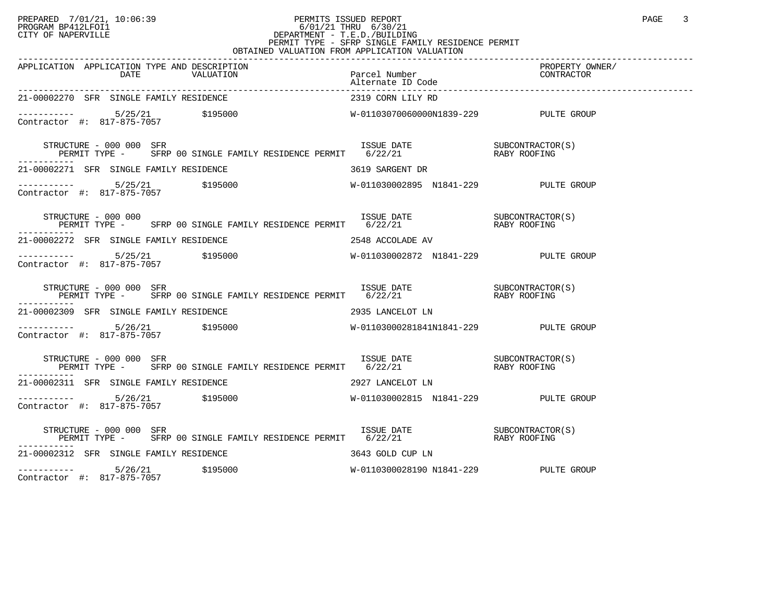## PREPARED 7/01/21, 10:06:39 PERMITS ISSUED REPORT PAGE 3 PROGRAM BP412LFOI1 6/01/21 THRU 6/30/21 CITY OF NAPERVILLE **Example 20** CITY OF NAPERVILLE CITY OF NAPERVILLE<br>
PERMIT TYPE - SFRP SINGLE FAMILY RESIDENCE PERMIT<br>
PERMIT TYPE - SFRP SINGLE FAMILY RESIDENCE PERMIT OBTAINED VALUATION FROM APPLICATION VALUATION

| APPLICATION APPLICATION TYPE AND DESCRIPTION<br>DATE VALUATION Parcel Number<br>Parcel Number<br>270 SER SINGLE PAMILY DRAINING                                                                                                                                                                                                                                                                                                       |                                       | PROPERTY OWNER/<br>CONTRACTOR |
|---------------------------------------------------------------------------------------------------------------------------------------------------------------------------------------------------------------------------------------------------------------------------------------------------------------------------------------------------------------------------------------------------------------------------------------|---------------------------------------|-------------------------------|
| 21-00002270 SFR SINGLE FAMILY RESIDENCE                                                                                                                                                                                                                                                                                                                                                                                               | 2319 CORN LILY RD                     |                               |
|                                                                                                                                                                                                                                                                                                                                                                                                                                       |                                       |                               |
| TRUCTURE - 000 000 SFR<br>PERMIT TYPE - SFRP 00 SINGLE FAMILY RESIDENCE PERMIT 6/22/21 6/22/21<br>STRUCTURE – 000 000 SFR<br>----------                                                                                                                                                                                                                                                                                               |                                       |                               |
| 21-00002271 SFR SINGLE FAMILY RESIDENCE THE SERIES OF 3619 SARGENT DR                                                                                                                                                                                                                                                                                                                                                                 |                                       |                               |
|                                                                                                                                                                                                                                                                                                                                                                                                                                       |                                       |                               |
| $\begin{array}{cccc} \texttt{STRUCTURE} & - & 000 & 000 \\ \texttt{PERMIT} & \texttt{TYPE} & - & \texttt{SFRP} & 00 \\ \texttt{SFRP} & 00 & \texttt{SINGLE} & \texttt{FAMILY} & \texttt{RESIDENCE} & \texttt{PERMIT} & 6/22/21 \\ \end{array} \qquad \begin{array}{cccc} \texttt{ISSUE} & \texttt{DATE} & \texttt{SUECONTRACTOR(S)} \\ \texttt{6/22/21} & \texttt{SUS} & \texttt{RABY ROOFING} \\ \end{array}$<br>STRUCTURE - 000 000 |                                       |                               |
| 21-00002272 SFR SINGLE FAMILY RESIDENCE THE SERIES OF 2548 ACCOLADE AV                                                                                                                                                                                                                                                                                                                                                                |                                       |                               |
|                                                                                                                                                                                                                                                                                                                                                                                                                                       |                                       |                               |
| STRUCTURE – 000 000 SFR<br>PERMIT TYPE – SFRP 00 SINGLE FAMILY RESIDENCE PERMIT 6/22/21 – RABY ROOFING<br>STRUCTURE - 000 000 SFR                                                                                                                                                                                                                                                                                                     |                                       |                               |
| 21-00002309 SFR SINGLE FAMILY RESIDENCE THE SERIES OF 2935 LANCELOT LN                                                                                                                                                                                                                                                                                                                                                                |                                       |                               |
|                                                                                                                                                                                                                                                                                                                                                                                                                                       |                                       |                               |
| STRUCTURE – 000 000 SFR<br>PERMIT TYPE – SFRP 00 SINGLE FAMILY RESIDENCE PERMIT 6/22/21 – RABY ROOFING<br>STRUCTURE - 000 000 SFR                                                                                                                                                                                                                                                                                                     |                                       |                               |
| 21-00002311 SFR SINGLE FAMILY RESIDENCE THE SERIES OF THE 2927 LANCELOT LN                                                                                                                                                                                                                                                                                                                                                            |                                       |                               |
| Contractor #: 817-875-7057                                                                                                                                                                                                                                                                                                                                                                                                            |                                       |                               |
| $\begin{array}{cccc} \texttt{STRUTURE} - 000~000 & \texttt{SFR} & \texttt{ISSUE} & \texttt{DATE} & \texttt{SUBCONTRACTOR(S)} \\ \texttt{PERMIT} & \texttt{TPE} - & \texttt{SFRP} & 00 & \texttt{SINGLE} & \texttt{FAMILY} & \texttt{RESIDENCE} & \texttt{PERMIT} & 6/22/21 & \texttt{XABY ROOFING} \end{array}$                                                                                                                       |                                       |                               |
| 21-00002312 SFR SINGLE FAMILY RESIDENCE                                                                                                                                                                                                                                                                                                                                                                                               | 3643 GOLD CUP LN                      |                               |
| ----------- 5/26/21 \$195000<br>Contractor #: 817-875-7057                                                                                                                                                                                                                                                                                                                                                                            | W-0110300028190 N1841-229 PULTE GROUP |                               |